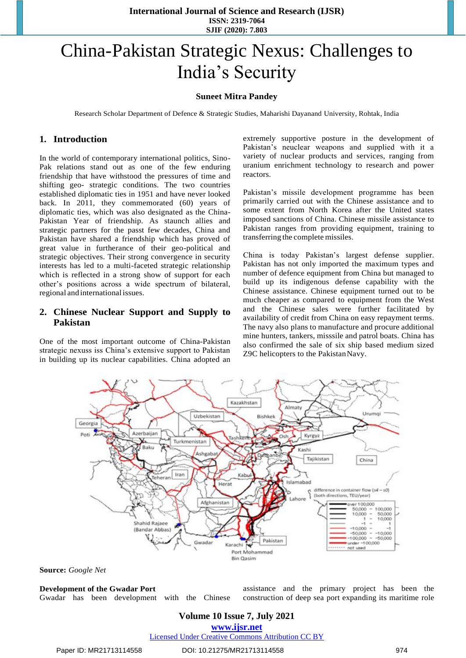**International Journal of Science and Research (IJSR) ISSN: 2319-7064 SJIF (2020): 7.803**

# China-Pakistan Strategic Nexus: Challenges to India"s Security

### **Suneet Mitra Pandey**

Research Scholar Department of Defence & Strategic Studies, Maharishi Dayanand University, Rohtak, India

## **1. Introduction**

In the world of contemporary international politics, Sino-Pak relations stand out as one of the few enduring friendship that have withstood the pressures of time and shifting geo- strategic conditions. The two countries established diplomatic ties in 1951 and have never looked back. In 2011, they commemorated (60) years of diplomatic ties, which was also designated as the China-Pakistan Year of friendship. As staunch allies and strategic partners for the passt few decades, China and Pakistan have shared a friendship which has proved of great value in furtherance of their geo-political and strategic objectives. Their strong convergence in security interests has led to a multi-faceted strategic relationship which is reflected in a strong show of support for each other"s positions across a wide spectrum of bilateral, regional and international issues.

# **2. Chinese Nuclear Support and Supply to Pakistan**

One of the most important outcome of China-Pakistan strategic nexuss iss China"s extensive support to Pakistan in building up its nuclear capabilities. China adopted an extremely supportive posture in the development of Pakistan's neuclear weapons and supplied with it a variety of nuclear products and services, ranging from uranium enrichment technology to research and power reactors.

Pakistan"s missile development programme has been primarily carried out with the Chinese assistance and to some extent from North Korea after the United states imposed sanctions of China. Chinese missile assistance to Pakistan ranges from providing equipment, training to transferring the complete missiles.

China is today Pakistan"s largest defense supplier. Pakistan has not only imported the maximum types and number of defence equipment from China but managed to build up its indigenous defense capability with the Chinese assistance. Chinese equipment turned out to be much cheaper as compared to equipment from the West and the Chinese sales were further facilitated by availability of credit from China on easy repayment terms. The navy also plans to manufacture and procure additional mine hunters, tankers, misssile and patrol boats. China has also confirmed the sale of six ship based medium sized Z9C helicopters to the PakistanNavy.



**Source:** *Google Net*

**Development of the Gwadar Port** Gwadar has been development with the Chinese assistance and the primary project has been the construction of deep sea port expanding its maritime role

## **Volume 10 Issue 7, July 2021**

**www.ijsr.net**

Licensed Under Creative Commons Attribution CC BY

#### Paper ID: MR21713114558 DOI: 10.21275/MR21713114558 974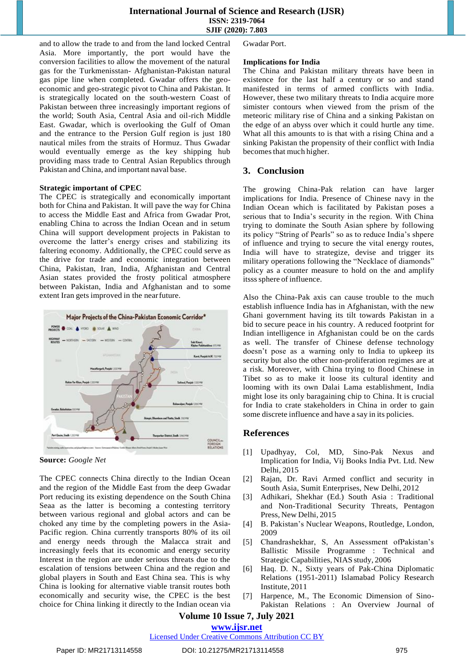## **International Journal of Science and Research (IJSR) ISSN: 2319-7064 SJIF (2020): 7.803**

and to allow the trade to and from the land locked Central Asia. More importantly, the port would have the conversion facilities to allow the movement of the natural gas for the Turkmenisstan- Afghanistan-Pakistan natural gas pipe line when completed. Gwadar offers the geoeconomic and geo-strategic pivot to China and Pakistan. It is strategically located on the south-western Coast of Pakistan between three increasingly important regions of the world; South Asia, Central Asia and oil-rich Middle East. Gwadar, which is overlooking the Gulf of Oman and the entrance to the Persion Gulf region is just 180 nautical miles from the straits of Hormuz. Thus Gwadar would eventually emerge as the key shipping hub providing mass trade to Central Asian Republics through Pakistan and China, and important naval base.

#### **Strategic important of CPEC**

The CPEC is strategically and economically important both for China and Pakistan. It will pave the way for China to access the Middle East and Africa from Gwadar Prot, enabling China to across the Indian Ocean and in setum China will support development projects in Pakistan to overcome the latter"s energy crises and stabilizing its faltering economy. Additionally, the CPEC could serve as the drive for trade and economic integration between China, Pakistan, Iran, India, Afghanistan and Central Asian states provided the frosty political atmosphere between Pakistan, India and Afghanistan and to some extent Iran gets improved in the nearfuture.



**Source:** *Google Net*

The CPEC connects China directly to the Indian Ocean and the region of the Middle East from the deep Gwadar Port reducing its existing dependence on the South China Seaa as the latter is becoming a contesting territory between various regional and global actors and can be choked any time by the completing powers in the Asia-Pacific region. China currently transports 80% of its oil and energy needs through the Malacca strait and increasingly feels that its economic and energy security Interest in the region are under serious threats due to the escalation of tensions between China and the region and global players in South and East China sea. This is why China is looking for alternative viable transit routes both economically and security wise, the CPEC is the best choice for China linking it directly to the Indian ocean via Gwadar Port.

#### **Implications for India**

The China and Pakistan military threats have been in existence for the last half a century or so and stand manifested in terms of armed conflicts with India. However, these two military threats to India acquire more simister contours when viewed from the prism of the meteoric military rise of China and a sinking Pakistan on the edge of an abyss over which it could hurtle any time. What all this amounts to is that with a rising China and a sinking Pakistan the propensity of their conflict with India becomes that much higher.

## **3. Conclusion**

The growing China-Pak relation can have larger implications for India. Presence of Chinese navy in the Indian Ocean which is facilitated by Pakistan poses a serious that to India"s security in the region. With China trying to dominate the South Asian sphere by following its policy "String of Pearls" so as to reduce India"s shpere of influence and trying to secure the vital energy routes, India will have to strategize, devise and trigger its military operations following the "Necklace of diamonds" policy as a counter measure to hold on the and amplify itssssphere of influence.

Also the China-Pak axis can cause trouble to the much establish influence India has in Afghanistan, with the new Ghani government having its tilt towards Pakistan in a bid to secure peace in his country. A reduced footprint for Indian intelligence in Afghanistan could be on the cards as well. The transfer of Chinese defense technology doesn"t pose as a warning only to India to upkeep its security but also the other non-proliferation regimes are at a risk. Moreover, with China trying to flood Chinese in Tibet so as to make it loose its cultural identity and looming with its own Dalai Lama establishment, India might lose its only baragaining chip to China. It is crucial for India to crate stakeholders in China in order to gain some discrete influence and have a say in its policies.

## **References**

- [1] Upadhyay, Col, MD, Sino-Pak Nexus and Implication for India, Vij Books India Pvt. Ltd. New Delhi, 2015
- [2] Rajan, Dr. Ravi Armed conflict and security in South Asia, Sumit Enterprises, New Delhi, 2012
- [3] Adhikari, Shekhar (Ed.) South Asia : Traditional and Non-Traditional Security Threats, Pentagon Press, New Delhi, 2015
- [4] B. Pakistan's Nuclear Weapons, Routledge, London, 2009
- [5] Chandrashekhar, S, An Assessment ofPakistan"s Ballistic Missile Programme : Technical and Strategic Capabilities, NIAS study, 2006
- [6] Haq. D. N., Sixty years of Pak-China Diplomatic Relations (1951-2011) Islamabad Policy Research Institute, 2011
- [7] Harpence, M., The Economic Dimension of Sino-Pakistan Relations : An Overview Journal of

# **Volume 10 Issue 7, July 2021**

## **www.ijsr.net**

Licensed Under Creative Commons Attribution CC BY